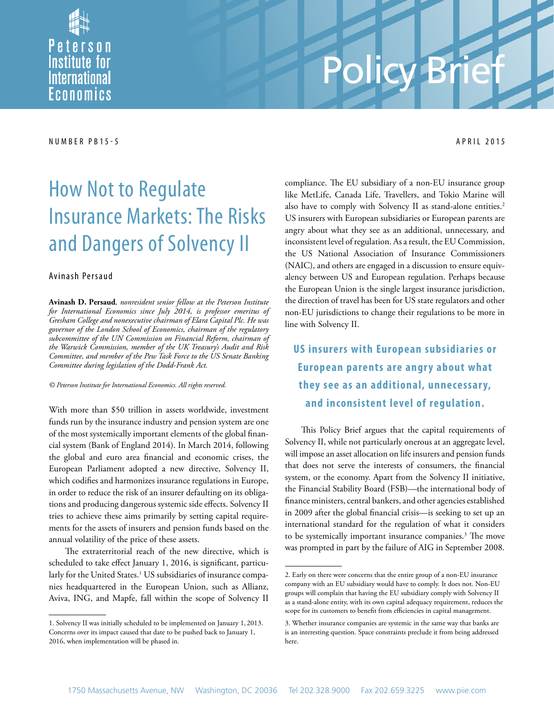

# Policy Brief

#### NUMBER PB 15-5 APRIL 2015

# How Not to Regulate Insurance Markets: The Risks and Dangers of Solvency II

#### Avinash Persaud

**Avinash D. Persaud***, nonresident senior fellow at the Peterson Institute for International Economics since July 2014, is professor emeritus of Gresham College and nonexecutive chairman of Elara Capital Plc. He was governor of the London School of Economics, chairman of the regulatory subcommittee of the UN Commission on Financial Reform, chairman of the Warwick Commission, member of the UK Treasury's Audit and Risk Committee, and member of the Pew Task Force to the US Senate Banking Committee during legislation of the Dodd-Frank Act.*

*© Peterson Institute for International Economics. All rights reserved.*

With more than \$50 trillion in assets worldwide, investment funds run by the insurance industry and pension system are one of the most systemically important elements of the global financial system (Bank of England 2014). In March 2014, following the global and euro area financial and economic crises, the European Parliament adopted a new directive, Solvency II, which codifies and harmonizes insurance regulations in Europe, in order to reduce the risk of an insurer defaulting on its obligations and producing dangerous systemic side effects. Solvency II tries to achieve these aims primarily by setting capital requirements for the assets of insurers and pension funds based on the annual volatility of the price of these assets.

The extraterritorial reach of the new directive, which is scheduled to take effect January 1, 2016, is significant, particularly for the United States.<sup>1</sup> US subsidiaries of insurance companies headquartered in the European Union, such as Allianz, Aviva, ING, and Mapfe, fall within the scope of Solvency II compliance. The EU subsidiary of a non-EU insurance group like MetLife, Canada Life, Travellers, and Tokio Marine will also have to comply with Solvency II as stand-alone entities.<sup>2</sup> US insurers with European subsidiaries or European parents are angry about what they see as an additional, unnecessary, and inconsistent level of regulation. As a result, the EU Commission, the US National Association of Insurance Commissioners (NAIC), and others are engaged in a discussion to ensure equivalency between US and European regulation. Perhaps because the European Union is the single largest insurance jurisdiction, the direction of travel has been for US state regulators and other non-EU jurisdictions to change their regulations to be more in line with Solvency II.

**US insurers with European subsidiaries or European parents are angry about what** they see as an additional, unnecessary, **and inconsistent level of regulation.** 

This Policy Brief argues that the capital requirements of Solvency II, while not particularly onerous at an aggregate level, will impose an asset allocation on life insurers and pension funds that does not serve the interests of consumers, the financial system, or the economy. Apart from the Solvency II initiative, the Financial Stability Board (FSB)—the international body of finance ministers, central bankers, and other agencies established in 2009 after the global financial crisis—is seeking to set up an international standard for the regulation of what it considers to be systemically important insurance companies.<sup>3</sup> The move was prompted in part by the failure of AIG in September 2008.

<sup>1.</sup> Solvency II was initially scheduled to be implemented on January 1, 2013. Concerns over its impact caused that date to be pushed back to January 1, 2016, when implementation will be phased in.

<sup>2.</sup> Early on there were concerns that the entire group of a non-EU insurance company with an EU subsidiary would have to comply. It does not. Non-EU groups will complain that having the EU subsidiary comply with Solvency II as a stand-alone entity, with its own capital adequacy requirement, reduces the scope for its customers to benefit from efficiencies in capital management.

<sup>3.</sup> Whether insurance companies are systemic in the same way that banks are is an interesting question. Space constraints preclude it from being addressed here.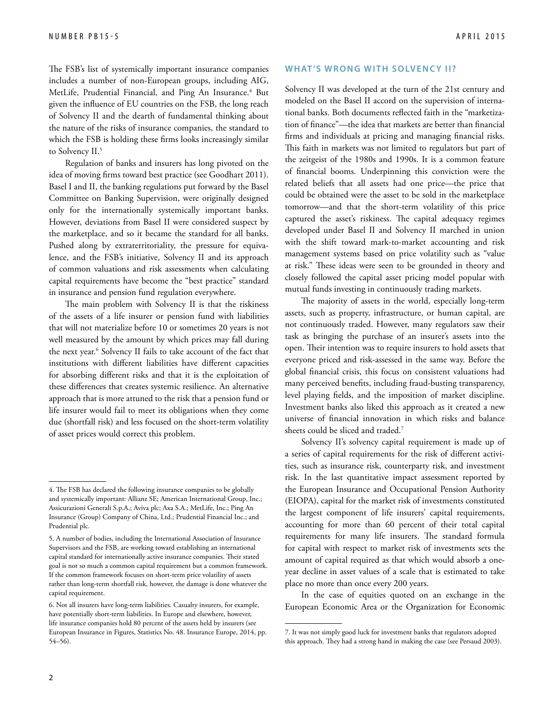The FSB's list of systemically important insurance companies includes a number of non-European groups, including AIG, MetLife, Prudential Financial, and Ping An Insurance.<sup>4</sup> But given the influence of EU countries on the FSB, the long reach of Solvency II and the dearth of fundamental thinking about the nature of the risks of insurance companies, the standard to which the FSB is holding these firms looks increasingly similar to Solvency II.<sup>5</sup>

Regulation of banks and insurers has long pivoted on the idea of moving firms toward best practice (see Goodhart 2011). Basel I and II, the banking regulations put forward by the Basel Committee on Banking Supervision, were originally designed only for the internationally systemically important banks. However, deviations from Basel II were considered suspect by the marketplace, and so it became the standard for all banks. Pushed along by extraterritoriality, the pressure for equivalence, and the FSB's initiative, Solvency II and its approach of common valuations and risk assessments when calculating capital requirements have become the "best practice" standard in insurance and pension fund regulation everywhere.

The main problem with Solvency II is that the riskiness of the assets of a life insurer or pension fund with liabilities that will not materialize before 10 or sometimes 20 years is not well measured by the amount by which prices may fall during the next year.<sup>6</sup> Solvency II fails to take account of the fact that institutions with different liabilities have different capacities for absorbing different risks and that it is the exploitation of these differences that creates systemic resilience. An alternative approach that is more attuned to the risk that a pension fund or life insurer would fail to meet its obligations when they come due (shortfall risk) and less focused on the short-term volatility of asset prices would correct this problem.

#### WHAT'S WRONG WITH SOLVENCY **II**?

Solvency II was developed at the turn of the 21st century and modeled on the Basel II accord on the supervision of international banks. Both documents reflected faith in the "marketization of finance"—the idea that markets are better than financial firms and individuals at pricing and managing financial risks. This faith in markets was not limited to regulators but part of the zeitgeist of the 1980s and 1990s. It is a common feature of financial booms. Underpinning this conviction were the related beliefs that all assets had one price—the price that could be obtained were the asset to be sold in the marketplace tomorrow—and that the short-term volatility of this price captured the asset's riskiness. The capital adequacy regimes developed under Basel II and Solvency II marched in union with the shift toward mark-to-market accounting and risk management systems based on price volatility such as "value at risk." These ideas were seen to be grounded in theory and closely followed the capital asset pricing model popular with mutual funds investing in continuously trading markets.

The majority of assets in the world, especially long-term assets, such as property, infrastructure, or human capital, are not continuously traded. However, many regulators saw their task as bringing the purchase of an insurer's assets into the open. Their intention was to require insurers to hold assets that everyone priced and risk-assessed in the same way. Before the global financial crisis, this focus on consistent valuations had many perceived benefits, including fraud-busting transparency, level playing fields, and the imposition of market discipline. Investment banks also liked this approach as it created a new universe of financial innovation in which risks and balance sheets could be sliced and traded.7

Solvency II's solvency capital requirement is made up of a series of capital requirements for the risk of different activities, such as insurance risk, counterparty risk, and investment risk. In the last quantitative impact assessment reported by the European Insurance and Occupational Pension Authority (EIOPA), capital for the market risk of investments constituted the largest component of life insurers' capital requirements, accounting for more than 60 percent of their total capital requirements for many life insurers. The standard formula for capital with respect to market risk of investments sets the amount of capital required as that which would absorb a oneyear decline in asset values of a scale that is estimated to take place no more than once every 200 years.

In the case of equities quoted on an exchange in the European Economic Area or the Organization for Economic

<sup>4.</sup> The FSB has declared the following insurance companies to be globally and systemically important: Allianz SE; American International Group, Inc.; Assicurazioni Generali S.p.A.; Aviva plc; Axa S.A.; MetLife, Inc.; Ping An Insurance (Group) Company of China, Ltd.; Prudential Financial Inc.; and Prudential plc.

<sup>5.</sup> A number of bodies, including the International Association of Insurance Supervisors and the FSB, are working toward establishing an international capital standard for internationally active insurance companies. Their stated goal is not so much a common capital requirement but a common framework. If the common framework focuses on short-term price volatility of assets rather than long-term shortfall risk, however, the damage is done whatever the capital requirement.

<sup>6.</sup> Not all insurers have long-term liabilities. Casualty insurers, for example, have potentially short-term liabilities. In Europe and elsewhere, however, life insurance companies hold 80 percent of the assets held by insurers (see European Insurance in Figures, Statistics No. 48. Insurance Europe, 2014, pp. 54–56).

<sup>7.</sup> It was not simply good luck for investment banks that regulators adopted this approach. They had a strong hand in making the case (see Persaud 2003).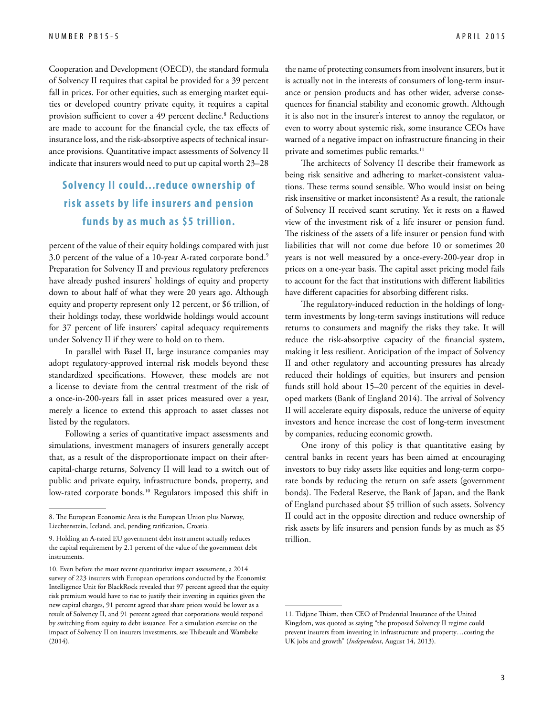Cooperation and Development (OECD), the standard formula of Solvency II requires that capital be provided for a 39 percent fall in prices. For other equities, such as emerging market equities or developed country private equity, it requires a capital provision sufficient to cover a 49 percent decline.<sup>8</sup> Reductions are made to account for the financial cycle, the tax effects of insurance loss, and the risk-absorptive aspects of technical insurance provisions. Quantitative impact assessments of Solvency II indicate that insurers would need to put up capital worth 23–28

### **Solvency II could...reduce ownership of risk assets by life insurers and pension funds by as much as \$5 trillion.**

percent of the value of their equity holdings compared with just 3.0 percent of the value of a 10-year A-rated corporate bond.9 Preparation for Solvency II and previous regulatory preferences have already pushed insurers' holdings of equity and property down to about half of what they were 20 years ago. Although equity and property represent only 12 percent, or \$6 trillion, of their holdings today, these worldwide holdings would account for 37 percent of life insurers' capital adequacy requirements under Solvency II if they were to hold on to them.

In parallel with Basel II, large insurance companies may adopt regulatory-approved internal risk models beyond these standardized specifications. However, these models are not a license to deviate from the central treatment of the risk of a once-in-200-years fall in asset prices measured over a year, merely a licence to extend this approach to asset classes not listed by the regulators.

Following a series of quantitative impact assessments and simulations, investment managers of insurers generally accept that, as a result of the disproportionate impact on their aftercapital-charge returns, Solvency II will lead to a switch out of public and private equity, infrastructure bonds, property, and low-rated corporate bonds.<sup>10</sup> Regulators imposed this shift in

the name of protecting consumers from insolvent insurers, but it is actually not in the interests of consumers of long-term insurance or pension products and has other wider, adverse consequences for financial stability and economic growth. Although it is also not in the insurer's interest to annoy the regulator, or even to worry about systemic risk, some insurance CEOs have warned of a negative impact on infrastructure financing in their private and sometimes public remarks.<sup>11</sup>

The architects of Solvency II describe their framework as being risk sensitive and adhering to market-consistent valuations. These terms sound sensible. Who would insist on being risk insensitive or market inconsistent? As a result, the rationale of Solvency II received scant scrutiny. Yet it rests on a flawed view of the investment risk of a life insurer or pension fund. The riskiness of the assets of a life insurer or pension fund with liabilities that will not come due before 10 or sometimes 20 years is not well measured by a once-every-200-year drop in prices on a one-year basis. The capital asset pricing model fails to account for the fact that institutions with different liabilities have different capacities for absorbing different risks.

The regulatory-induced reduction in the holdings of longterm investments by long-term savings institutions will reduce returns to consumers and magnify the risks they take. It will reduce the risk-absorptive capacity of the financial system, making it less resilient. Anticipation of the impact of Solvency II and other regulatory and accounting pressures has already reduced their holdings of equities, but insurers and pension funds still hold about 15–20 percent of the equities in developed markets (Bank of England 2014). The arrival of Solvency II will accelerate equity disposals, reduce the universe of equity investors and hence increase the cost of long-term investment by companies, reducing economic growth.

One irony of this policy is that quantitative easing by central banks in recent years has been aimed at encouraging investors to buy risky assets like equities and long-term corporate bonds by reducing the return on safe assets (government bonds). The Federal Reserve, the Bank of Japan, and the Bank of England purchased about \$5 trillion of such assets. Solvency II could act in the opposite direction and reduce ownership of risk assets by life insurers and pension funds by as much as \$5 trillion.

<sup>8.</sup> The European Economic Area is the European Union plus Norway, Liechtenstein, Iceland, and, pending ratification, Croatia.

<sup>9.</sup> Holding an A-rated EU government debt instrument actually reduces the capital requirement by 2.1 percent of the value of the government debt instruments.

<sup>10.</sup> Even before the most recent quantitative impact assessment, a 2014 survey of 223 insurers with European operations conducted by the Economist Intelligence Unit for BlackRock revealed that 97 percent agreed that the equity risk premium would have to rise to justify their investing in equities given the new capital charges, 91 percent agreed that share prices would be lower as a result of Solvency II, and 91 percent agreed that corporations would respond by switching from equity to debt issuance. For a simulation exercise on the impact of Solvency II on insurers investments, see Thibeault and Wambeke (2014).

<sup>11.</sup> Tidjane Thiam, then CEO of Prudential Insurance of the United Kingdom, was quoted as saying "the proposed Solvency II regime could prevent insurers from investing in infrastructure and property…costing the UK jobs and growth" (*Independent*, August 14, 2013).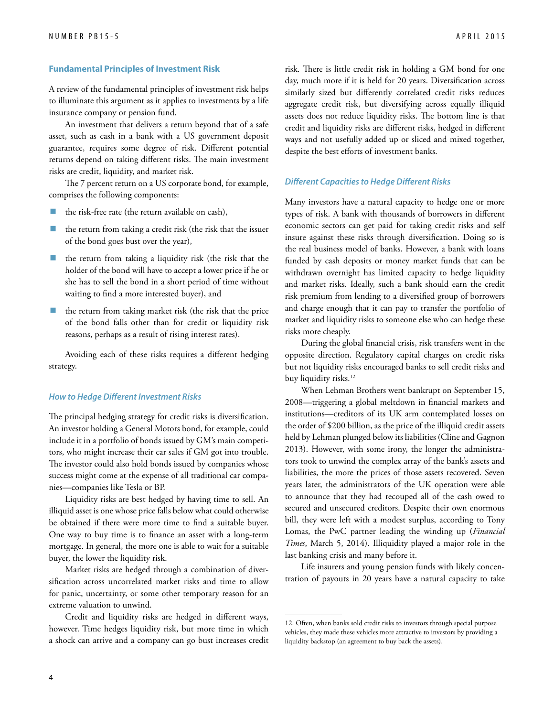#### **Fundamental Principles of Investment Risk**

A review of the fundamental principles of investment risk helps to illuminate this argument as it applies to investments by a life insurance company or pension fund.

An investment that delivers a return beyond that of a safe asset, such as cash in a bank with a US government deposit guarantee, requires some degree of risk. Different potential returns depend on taking different risks. The main investment risks are credit, liquidity, and market risk.

The 7 percent return on a US corporate bond, for example, comprises the following components:

- the risk-free rate (the return available on cash),
- the return from taking a credit risk (the risk that the issuer of the bond goes bust over the year),
- the return from taking a liquidity risk (the risk that the holder of the bond will have to accept a lower price if he or she has to sell the bond in a short period of time without waiting to find a more interested buyer), and
- the return from taking market risk (the risk that the price of the bond falls other than for credit or liquidity risk reasons, perhaps as a result of rising interest rates).

Avoiding each of these risks requires a different hedging strategy.

#### *How to Hedge Different Investment Risks*

The principal hedging strategy for credit risks is diversification. An investor holding a General Motors bond, for example, could include it in a portfolio of bonds issued by GM's main competitors, who might increase their car sales if GM got into trouble. The investor could also hold bonds issued by companies whose success might come at the expense of all traditional car companies—companies like Tesla or BP.

Liquidity risks are best hedged by having time to sell. An illiquid asset is one whose price falls below what could otherwise be obtained if there were more time to find a suitable buyer. One way to buy time is to finance an asset with a long-term mortgage. In general, the more one is able to wait for a suitable buyer, the lower the liquidity risk.

Market risks are hedged through a combination of diversification across uncorrelated market risks and time to allow for panic, uncertainty, or some other temporary reason for an extreme valuation to unwind.

Credit and liquidity risks are hedged in different ways, however. Time hedges liquidity risk, but more time in which a shock can arrive and a company can go bust increases credit

risk. There is little credit risk in holding a GM bond for one day, much more if it is held for 20 years. Diversification across similarly sized but differently correlated credit risks reduces aggregate credit risk, but diversifying across equally illiquid assets does not reduce liquidity risks. The bottom line is that credit and liquidity risks are different risks, hedged in different ways and not usefully added up or sliced and mixed together, despite the best efforts of investment banks.

#### *Different Capacities to Hedge Different Risks*

Many investors have a natural capacity to hedge one or more types of risk. A bank with thousands of borrowers in different economic sectors can get paid for taking credit risks and self insure against these risks through diversification. Doing so is the real business model of banks. However, a bank with loans funded by cash deposits or money market funds that can be withdrawn overnight has limited capacity to hedge liquidity and market risks. Ideally, such a bank should earn the credit risk premium from lending to a diversified group of borrowers and charge enough that it can pay to transfer the portfolio of market and liquidity risks to someone else who can hedge these risks more cheaply.

During the global financial crisis, risk transfers went in the opposite direction. Regulatory capital charges on credit risks but not liquidity risks encouraged banks to sell credit risks and buy liquidity risks.<sup>12</sup>

When Lehman Brothers went bankrupt on September 15, 2008—triggering a global meltdown in financial markets and institutions—creditors of its UK arm contemplated losses on the order of \$200 billion, as the price of the illiquid credit assets held by Lehman plunged below its liabilities (Cline and Gagnon 2013). However, with some irony, the longer the administrators took to unwind the complex array of the bank's assets and liabilities, the more the prices of those assets recovered. Seven years later, the administrators of the UK operation were able to announce that they had recouped all of the cash owed to secured and unsecured creditors. Despite their own enormous bill, they were left with a modest surplus, according to Tony Lomas, the PwC partner leading the winding up (*Financial Times*, March 5, 2014). Illiquidity played a major role in the last banking crisis and many before it.

Life insurers and young pension funds with likely concentration of payouts in 20 years have a natural capacity to take

<sup>12.</sup> Often, when banks sold credit risks to investors through special purpose vehicles, they made these vehicles more attractive to investors by providing a liquidity backstop (an agreement to buy back the assets).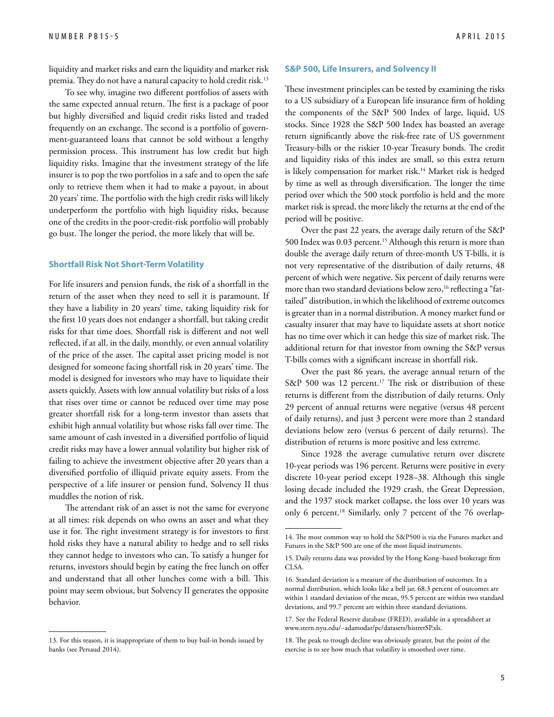liquidity and market risks and earn the liquidity and market risk premia. They do not have a natural capacity to hold credit risk.13

To see why, imagine two different portfolios of assets with the same expected annual return. The first is a package of poor but highly diversified and liquid credit risks listed and traded frequently on an exchange. The second is a portfolio of government-guaranteed loans that cannot be sold without a lengthy permission process. This instrument has low credit but high liquidity risks. Imagine that the investment strategy of the life insurer is to pop the two portfolios in a safe and to open the safe only to retrieve them when it had to make a payout, in about 20 years' time. The portfolio with the high credit risks will likely underperform the portfolio with high liquidity risks, because one of the credits in the poor-credit-risk portfolio will probably go bust. The longer the period, the more likely that will be.

#### **Shortfall Risk Not Short-Term Volatility**

For life insurers and pension funds, the risk of a shortfall in the return of the asset when they need to sell it is paramount. If they have a liability in 20 years' time, taking liquidity risk for the first 10 years does not endanger a shortfall, but taking credit risks for that time does. Shortfall risk is different and not well reflected, if at all, in the daily, monthly, or even annual volatility of the price of the asset. The capital asset pricing model is not designed for someone facing shortfall risk in 20 years' time. The model is designed for investors who may have to liquidate their assets quickly. Assets with low annual volatility but risks of a loss that rises over time or cannot be reduced over time may pose greater shortfall risk for a long-term investor than assets that exhibit high annual volatility but whose risks fall over time. The same amount of cash invested in a diversified portfolio of liquid credit risks may have a lower annual volatility but higher risk of failing to achieve the investment objective after 20 years than a diversified portfolio of illiquid private equity assets. From the perspective of a life insurer or pension fund, Solvency II thus muddles the notion of risk.

The attendant risk of an asset is not the same for everyone at all times: risk depends on who owns an asset and what they use it for. The right investment strategy is for investors to first hold risks they have a natural ability to hedge and to sell risks they cannot hedge to investors who can. To satisfy a hunger for returns, investors should begin by eating the free lunch on offer and understand that all other lunches come with a bill. This point may seem obvious, but Solvency II generates the opposite behavior.

#### **S&P 500, Life Insurers, and Solvency II**

These investment principles can be tested by examining the risks to a US subsidiary of a European life insurance firm of holding the components of the S&P 500 Index of large, liquid, US stocks. Since 1928 the S&P 500 Index has boasted an average return significantly above the risk-free rate of US government Treasury-bills or the riskier 10-year Treasury bonds. The credit and liquidity risks of this index are small, so this extra return is likely compensation for market risk.<sup>14</sup> Market risk is hedged by time as well as through diversification. The longer the time period over which the 500 stock portfolio is held and the more market risk is spread, the more likely the returns at the end of the period will be positive.

Over the past 22 years, the average daily return of the S&P 500 Index was 0.03 percent.<sup>15</sup> Although this return is more than double the average daily return of three-month US T-bills, it is not very representative of the distribution of daily returns, 48 percent of which were negative. Six percent of daily returns were more than two standard deviations below zero,<sup>16</sup> reflecting a "fattailed" distribution, in which the likelihood of extreme outcomes is greater than in a normal distribution. A money market fund or casualty insurer that may have to liquidate assets at short notice has no time over which it can hedge this size of market risk. The additional return for that investor from owning the S&P versus T-bills comes with a significant increase in shortfall risk.

Over the past 86 years, the average annual return of the S&P 500 was 12 percent.<sup>17</sup> The risk or distribution of these returns is different from the distribution of daily returns. Only 29 percent of annual returns were negative (versus 48 percent of daily returns), and just 3 percent were more than 2 standard deviations below zero (versus 6 percent of daily returns). The distribution of returns is more positive and less extreme.

Since 1928 the average cumulative return over discrete 10-year periods was 196 percent. Returns were positive in every discrete 10-year period except 1928–38. Although this single losing decade included the 1929 crash, the Great Depression, and the 1937 stock market collapse, the loss over 10 years was only 6 percent.<sup>18</sup> Similarly, only 7 percent of the 76 overlap-

<sup>13.</sup> For this reason, it is inappropriate of them to buy bail-in bonds issued by banks (see Persaud 2014).

<sup>14.</sup> The most common way to hold the S&P500 is via the Futures market and Futures in the S&P 500 are one of the most liquid instruments.

<sup>15.</sup> Daily returns data was provided by the Hong Kong–based brokerage firm CLSA.

<sup>16.</sup> Standard deviation is a measure of the distribution of outcomes. In a normal distribution, which looks like a bell jar, 68.3 percent of outcomes are within 1 standard deviation of the mean, 95.5 percent are within two standard deviations, and 99.7 percent are within three standard deviations.

<sup>17.</sup> See the Federal Reserve database (FRED), available in a spreadsheet at www.stern.nyu.edu/~adamodar/pc/datasets/histretSP.xls.

<sup>18.</sup> The peak to trough decline was obviously greater, but the point of the exercise is to see how much that volatility is smoothed over time.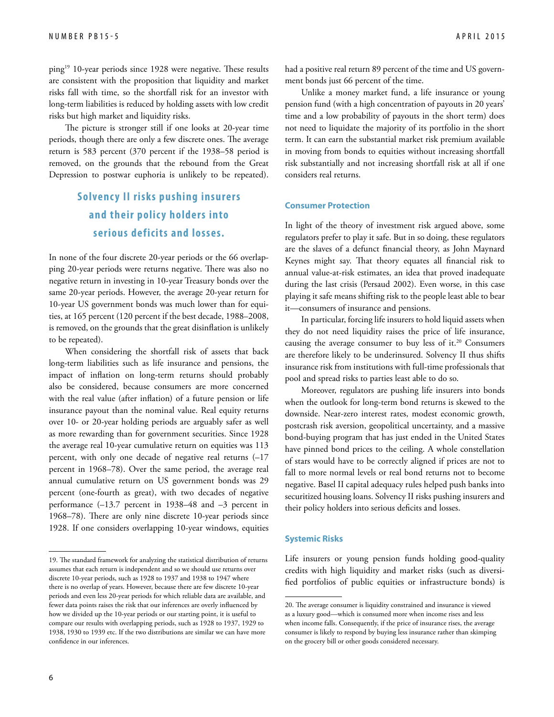ping19 10-year periods since 1928 were negative. These results are consistent with the proposition that liquidity and market risks fall with time, so the shortfall risk for an investor with long-term liabilities is reduced by holding assets with low credit risks but high market and liquidity risks.

The picture is stronger still if one looks at 20-year time periods, though there are only a few discrete ones. The average return is 583 percent (370 percent if the 1938–58 period is removed, on the grounds that the rebound from the Great Depression to postwar euphoria is unlikely to be repeated).

# **Solvency II risks pushing insurers and their policy holders into serious deficits and losses.**

In none of the four discrete 20-year periods or the 66 overlapping 20-year periods were returns negative. There was also no negative return in investing in 10-year Treasury bonds over the same 20-year periods. However, the average 20-year return for 10-year US government bonds was much lower than for equities, at 165 percent (120 percent if the best decade, 1988–2008, is removed, on the grounds that the great disinflation is unlikely to be repeated).

When considering the shortfall risk of assets that back long-term liabilities such as life insurance and pensions, the impact of inflation on long-term returns should probably also be considered, because consumers are more concerned with the real value (after inflation) of a future pension or life insurance payout than the nominal value. Real equity returns over 10- or 20-year holding periods are arguably safer as well as more rewarding than for government securities. Since 1928 the average real 10-year cumulative return on equities was 113 percent, with only one decade of negative real returns (–17 percent in 1968–78). Over the same period, the average real annual cumulative return on US government bonds was 29 percent (one-fourth as great), with two decades of negative performance (–13.7 percent in 1938–48 and –3 percent in 1968–78). There are only nine discrete 10-year periods since 1928. If one considers overlapping 10-year windows, equities had a positive real return 89 percent of the time and US government bonds just 66 percent of the time.

Unlike a money market fund, a life insurance or young pension fund (with a high concentration of payouts in 20 years' time and a low probability of payouts in the short term) does not need to liquidate the majority of its portfolio in the short term. It can earn the substantial market risk premium available in moving from bonds to equities without increasing shortfall risk substantially and not increasing shortfall risk at all if one considers real returns.

#### **Consumer Protection**

In light of the theory of investment risk argued above, some regulators prefer to play it safe. But in so doing, these regulators are the slaves of a defunct financial theory, as John Maynard Keynes might say. That theory equates all financial risk to annual value-at-risk estimates, an idea that proved inadequate during the last crisis (Persaud 2002). Even worse, in this case playing it safe means shifting risk to the people least able to bear it—consumers of insurance and pensions.

In particular, forcing life insurers to hold liquid assets when they do not need liquidity raises the price of life insurance, causing the average consumer to buy less of it.<sup>20</sup> Consumers are therefore likely to be underinsured. Solvency II thus shifts insurance risk from institutions with full-time professionals that pool and spread risks to parties least able to do so.

Moreover, regulators are pushing life insurers into bonds when the outlook for long-term bond returns is skewed to the downside. Near-zero interest rates, modest economic growth, postcrash risk aversion, geopolitical uncertainty, and a massive bond-buying program that has just ended in the United States have pinned bond prices to the ceiling. A whole constellation of stars would have to be correctly aligned if prices are not to fall to more normal levels or real bond returns not to become negative. Basel II capital adequacy rules helped push banks into securitized housing loans. Solvency II risks pushing insurers and their policy holders into serious deficits and losses.

#### **Systemic Risks**

Life insurers or young pension funds holding good-quality credits with high liquidity and market risks (such as diversified portfolios of public equities or infrastructure bonds) is

<sup>19.</sup> The standard framework for analyzing the statistical distribution of returns assumes that each return is independent and so we should use returns over discrete 10-year periods, such as 1928 to 1937 and 1938 to 1947 where there is no overlap of years. However, because there are few discrete 10-year periods and even less 20-year periods for which reliable data are available, and fewer data points raises the risk that our inferences are overly influenced by how we divided up the 10-year periods or our starting point, it is useful to compare our results with overlapping periods, such as 1928 to 1937, 1929 to 1938, 1930 to 1939 etc. If the two distributions are similar we can have more confidence in our inferences.

<sup>20.</sup> The average consumer is liquidity constrained and insurance is viewed as a luxury good—which is consumed more when income rises and less when income falls. Consequently, if the price of insurance rises, the average consumer is likely to respond by buying less insurance rather than skimping on the grocery bill or other goods considered necessary.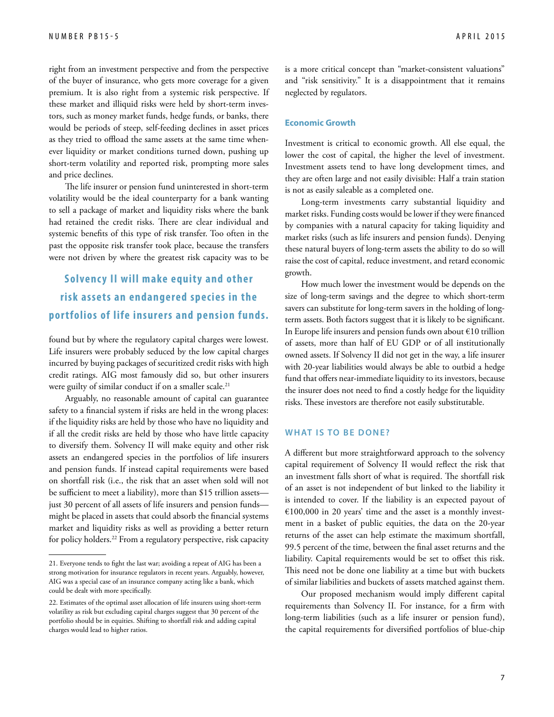right from an investment perspective and from the perspective of the buyer of insurance, who gets more coverage for a given premium. It is also right from a systemic risk perspective. If these market and illiquid risks were held by short-term investors, such as money market funds, hedge funds, or banks, there would be periods of steep, self-feeding declines in asset prices as they tried to offload the same assets at the same time whenever liquidity or market conditions turned down, pushing up short-term volatility and reported risk, prompting more sales and price declines.

The life insurer or pension fund uninterested in short-term volatility would be the ideal counterparty for a bank wanting to sell a package of market and liquidity risks where the bank had retained the credit risks. There are clear individual and systemic benefits of this type of risk transfer. Too often in the past the opposite risk transfer took place, because the transfers were not driven by where the greatest risk capacity was to be

# **Solvency II will make equity and other risk assets an endangered species in the por tfolios of life insurers and pension funds.**

found but by where the regulatory capital charges were lowest. Life insurers were probably seduced by the low capital charges incurred by buying packages of securitized credit risks with high credit ratings. AIG most famously did so, but other insurers were guilty of similar conduct if on a smaller scale.<sup>21</sup>

Arguably, no reasonable amount of capital can guarantee safety to a financial system if risks are held in the wrong places: if the liquidity risks are held by those who have no liquidity and if all the credit risks are held by those who have little capacity to diversify them. Solvency II will make equity and other risk assets an endangered species in the portfolios of life insurers and pension funds. If instead capital requirements were based on shortfall risk (i.e., the risk that an asset when sold will not be sufficient to meet a liability), more than \$15 trillion assets just 30 percent of all assets of life insurers and pension funds might be placed in assets that could absorb the financial systems market and liquidity risks as well as providing a better return for policy holders.<sup>22</sup> From a regulatory perspective, risk capacity is a more critical concept than "market-consistent valuations" and "risk sensitivity." It is a disappointment that it remains neglected by regulators.

#### **Economic Growth**

Investment is critical to economic growth. All else equal, the lower the cost of capital, the higher the level of investment. Investment assets tend to have long development times, and they are often large and not easily divisible: Half a train station is not as easily saleable as a completed one.

Long-term investments carry substantial liquidity and market risks. Funding costs would be lower if they were financed by companies with a natural capacity for taking liquidity and market risks (such as life insurers and pension funds). Denying these natural buyers of long-term assets the ability to do so will raise the cost of capital, reduce investment, and retard economic growth.

How much lower the investment would be depends on the size of long-term savings and the degree to which short-term savers can substitute for long-term savers in the holding of longterm assets. Both factors suggest that it is likely to be significant. In Europe life insurers and pension funds own about €10 trillion of assets, more than half of EU GDP or of all institutionally owned assets. If Solvency II did not get in the way, a life insurer with 20-year liabilities would always be able to outbid a hedge fund that offers near-immediate liquidity to its investors, because the insurer does not need to find a costly hedge for the liquidity risks. These investors are therefore not easily substitutable.

#### **What Is to Be Done?**

A different but more straightforward approach to the solvency capital requirement of Solvency II would reflect the risk that an investment falls short of what is required. The shortfall risk of an asset is not independent of but linked to the liability it is intended to cover. If the liability is an expected payout of  $€100,000$  in 20 years' time and the asset is a monthly investment in a basket of public equities, the data on the 20-year returns of the asset can help estimate the maximum shortfall, 99.5 percent of the time, between the final asset returns and the liability. Capital requirements would be set to offset this risk. This need not be done one liability at a time but with buckets of similar liabilities and buckets of assets matched against them.

Our proposed mechanism would imply different capital requirements than Solvency II. For instance, for a firm with long-term liabilities (such as a life insurer or pension fund), the capital requirements for diversified portfolios of blue-chip

<sup>21.</sup> Everyone tends to fight the last war; avoiding a repeat of AIG has been a strong motivation for insurance regulators in recent years. Arguably, however, AIG was a special case of an insurance company acting like a bank, which could be dealt with more specifically.

<sup>22.</sup> Estimates of the optimal asset allocation of life insurers using short-term volatility as risk but excluding capital charges suggest that 30 percent of the portfolio should be in equities. Shifting to shortfall risk and adding capital charges would lead to higher ratios.